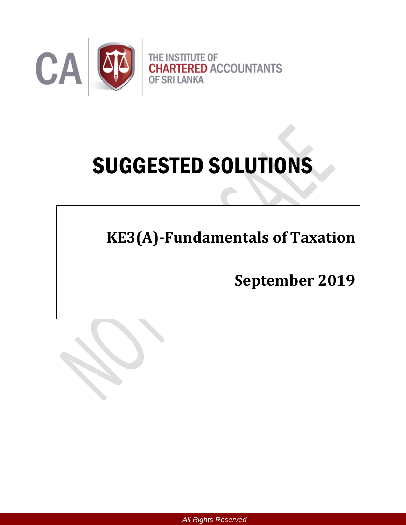

# SUGGESTED SOLUTIONS

**KE3(A)-Fundamentals of Taxation** 

**September 2019**



*All Rights Reserved*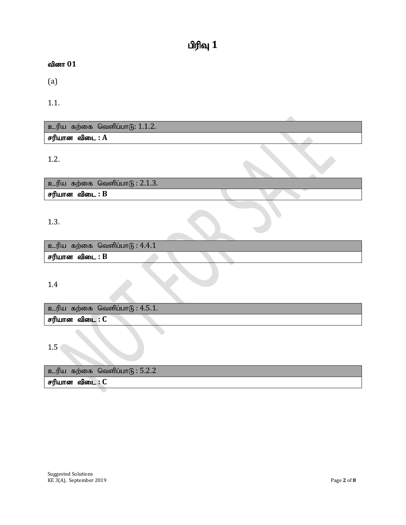# $\mathbf{u}$ ரிவு  $\mathbf{1}$

### வினா  $01$

(a)

1.1.

 $p$ ெரிய கற்கை வெளிப்பாடு:  $1.1.2$ .  $F$ ரியான விடை $: A$ 

1.2.

 $p$ ெரிய கற்கை வெளிப்பா $q$ : 2.1.3.  $F$ ரியான விடை :  $B$ 

#### 1.3.

 $p$ ெரிய கற்கை வெளிப்பா $q$ : 4.4.1  $F$ ரியான விடை :  $B$ 

1.4

 $p$ ெரிய கற்கை வெளிப்பா $(6: 4.5.1.1)$ சரியான விடை : C

1.5

உரிய கற்கை வெளிப்பா $6:5.2.2$ சரியான விடை : C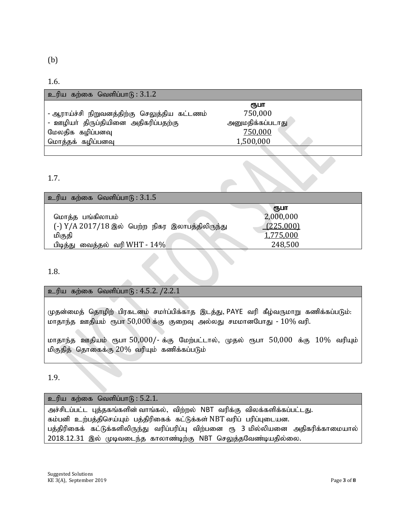#### 1.6.

| உரிய கற்கை வெளிப்பாடு : $3.1.2$              |                  |  |
|----------------------------------------------|------------------|--|
|                                              | ரூபா             |  |
| - ஆராய்ச்சி நிறுவனத்திற்கு செலுத்திய கட்டணம் | 750,000          |  |
| - ஊழியா் திருப்தியினை அதிகரிப்பதற்கு         | அனுமதிக்கப்படாது |  |
| மேலதிக கழிப்பனவு                             | 750,000          |  |
| மொத்தக் கழிப்பனவு                            | 1,500,000        |  |
|                                              |                  |  |

#### 1.7.

| உரிய கற்கை வெளிப்பாடு : $3.1.5$                 |                   |
|-------------------------------------------------|-------------------|
| மொத்த பங்கிலாபம்                                | ரூபா<br>2,000,000 |
| (-) Y/A 2017/18 இல் பெற்ற நிகர இலாபத்திலிருந்து | (225,000)         |
| மிகுதி                                          | 1,775,000         |
| பிடித்து வைத்தல் வரி WHT - $14\%$               | 248,500           |

1.8.

#### உரிய கற்கை வெளிப்பா $6$ :  $4.5.2$ . / $2.2.1$

முதன்மைத் தொழிற் பிரகடனம் சமா்ப்பிக்காத இடத்து, PAYE வரி கீழ்வருமாறு கணிக்கப்படும்: மாதாந்த ஊதியம் ரூபா 50,000 க்கு குறைவு அல்லது சமமானபோது -  $10\%$  வரி.

மாதாந்த ஊதியம் ரூபா 50,000/- க்கு மேற்பட்டால், முதல் ரூபா 50,000 க்கு 10% வரியும் மிகுதித் தொகைக்கு  $20\%$  வரியும் கணிக்கப்படும்

1.9.

#### $p$ ெரிய கற்கை வெளிப்பா $q$  : 5.2.1.

அச்சிடப்பட்ட புத்தகங்களின் வாங்கல், விற்றல் NBT வரிக்கு விலக்களிக்கப்பட்டது. கம்பனி உற்பத்திசெய்யும் பத்திரிகைக் கட்டுக்கள் NBT வரிப் பரிப்புடையன. பத்திரிகைக் கட்டுக்களிலிருந்து வரிப்பரிப்பு விற்பனை ரூ 3 மில்லியனை அதிகரிக்காமையால் 2018.12.31 இல் முடிவடைந்த காலாண்டிற்கு NBT செலுத்தவேண்டியதில்லை.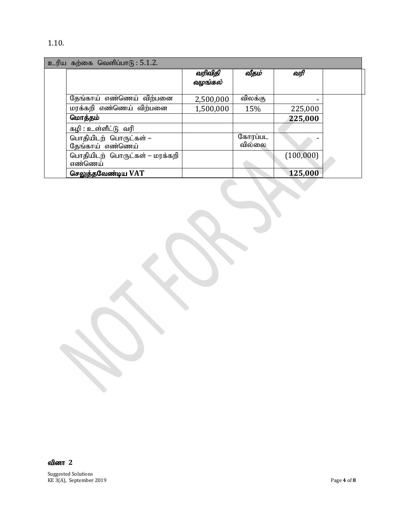## 1.10.

| உரிய கற்கை வெளிப்பாடு : 5.1.2. |                                           |                    |                   |           |  |
|--------------------------------|-------------------------------------------|--------------------|-------------------|-----------|--|
|                                |                                           | வரிவிதி<br>வழங்கல் | வீதம்             | வரி       |  |
|                                | தேங்காய் எண்ணெய் விற்பனை                  | 2,500,000          | விலக்கு           |           |  |
|                                | மரக்கறி எண்ணெய் விற்பனை                   | 1,500,000          | 15%               | 225,000   |  |
|                                | மொத்தம்                                   |                    |                   | 225,000   |  |
|                                | கழி : உள்ளீட்டு வரி                       |                    |                   |           |  |
|                                | பொதியிடற் பொருட்கள் –<br>தேங்காய் எண்ணெய் |                    | கோரப்பட<br>வில்லை |           |  |
|                                | பொதியிடற் பொருட்கள் – மரக்கறி<br>எண்ணெய்  |                    |                   | (100,000) |  |
|                                | செலுத்தவேண்டிய VAT                        |                    |                   | 125,000   |  |

வினா 2

Suggested Solutions KE 3(A), September 2019 **Page 4** of **8**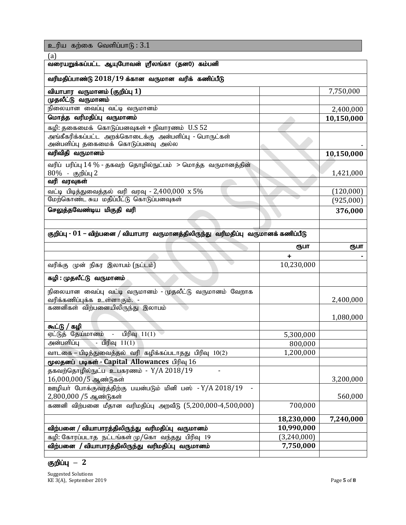உரிய கற்கை வெளிப்பா $6:3.1$ 

| (a)                                                                                         |                          |            |  |
|---------------------------------------------------------------------------------------------|--------------------------|------------|--|
| வரையறுக்கப்பட்ட ஆயுபோவன் ஸ்ரீலங்கா (தன0) கம்பனி                                             |                          |            |  |
| வரிமதிப்பாண்டு $2018/19$ க்கான வருமான வரிக் கணிப்பீடு                                       |                          |            |  |
| வியாபார வருமானம் (குறிப்பு 1)                                                               |                          | 7,750,000  |  |
| முதலீட்டு வருமானம்                                                                          |                          |            |  |
| நிலையான வைப்பு வட்டி வருமானம்                                                               |                          | 2,400,000  |  |
| மொத்த வரிமதிப்பு வருமானம்                                                                   |                          | 10,150,000 |  |
| கழி: தகைமைக் கொடுப்பனவுகள் + நிவாரணம் U.S 52                                                |                          |            |  |
| அங்கீகரிக்கப்பட்ட அறக்கொடைக்கு அன்பளிப்பு - பொருட்கள்<br>அன்பளிப்பு தகைமைக் கொடுப்பனவு அல்ல |                          |            |  |
| வரிவிதி வருமானம்                                                                            |                          | 10,150,000 |  |
| வரிப் பரிப்பு 14 % - தகவற் தொழில்நுட்பம் > மொத்த வருமானத்தின்                               |                          |            |  |
| 80% - குறிப்பு 2                                                                            |                          | 1,421,000  |  |
| வரி வரவுகள்                                                                                 |                          |            |  |
| வட்டி பிடித்துவைத்தல் வரி வரவு - 2,400,000 $x 5\%$                                          |                          | (120,000)  |  |
| மேற்கொண்ட சுய மதிப்பீட்டு கொடுப்பனவுகள்                                                     |                          | (925,000)  |  |
| செலுத்தவேண்டிய மிகுதி வரி                                                                   |                          | 376,000    |  |
|                                                                                             |                          |            |  |
| குறிப்பு - 01 – விற்பனை / வியாபார வருமானத்திலிருந்து வரிமதிப்பு வருமானக் கணிப்பீடு          |                          |            |  |
|                                                                                             | ரூபா                     | ரூபா       |  |
|                                                                                             |                          |            |  |
|                                                                                             | +                        |            |  |
| வரிக்கு முன் நிகர இலாபம் (நட்டம்)                                                           | 10,230,000               |            |  |
| கழி : முதலீட்டு வருமானம்                                                                    |                          |            |  |
| நிலையான வைப்பு வட்டி வருமானம் - முதலீட்டு வருமானம் வேறாக                                    |                          |            |  |
| வரிக்கணிப்புக்க உள்ளாகும். -                                                                |                          | 2,400,000  |  |
| கணனிகள் விற்பனையிலிருந்து இலாபம்                                                            |                          |            |  |
|                                                                                             |                          | 1,080,000  |  |
| கூட்டு / கழி                                                                                |                          |            |  |
| பிரிவு $11(1)$<br>$\sim$<br>ஏட்டுத் தேய்மானம்                                               | 5,300,000                |            |  |
| அன்பளிப்பு - பிரிவு $11(1)$                                                                 | 800,000                  |            |  |
| வாடகை – பிடித்துவைத்தல் வரி கழிக்கப்படாதது பிரிவு 10(2)                                     | 1,200,000                |            |  |
| மூலதனப் படிகள் - Capital Allowances பிரிவு 16                                               |                          |            |  |
| தகவற்தொழில்நுட்ப உபகரணம் - Y/A 2018/19                                                      |                          |            |  |
| 16,000,000/5 ஆண்டுகள்                                                                       |                          | 3,200,000  |  |
| ஊழியா் போக்குவரத்திற்கு பயன்படும் மினி பஸ் - Y/A 2018/19                                    |                          |            |  |
| 2,800,000 /5 ஆண்டுகள்<br>கணனி விற்பனை மீதான வரிமதிப்பு அறவீடு (5,200,000-4,500,000)         | 700,000                  | 560,000    |  |
|                                                                                             |                          |            |  |
| விற்பனை /                                                                                   | 18,230,000<br>10,990,000 | 7,240,000  |  |
| வியாபாரத்திலிருந்து வரிமதிப்பு வருமானம்<br>கழி: கோரப்படாத நட்டங்கள் மு/கொ வந்தது பிரிவு 19  | (3,240,000)              |            |  |
| விற்பனை / வியாபாரத்திலிருந்து வரிமதிப்பு வருமானம்                                           | 7,750,000                |            |  |

## <mark>குறிப்பு</mark> – 2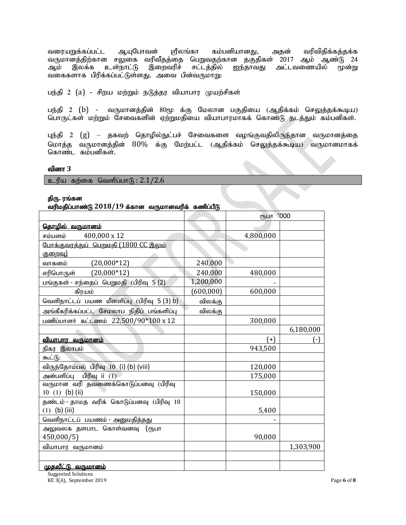வரையறுக்கப்பட்ட ஆயுபோவன் ஸ்ரீலங்கா கம்பனியானது, அதன் வரிவிதிக்கத்தக்க வருமானத்திற்கான சலுகை வரிவீதத்தை பெறுவதற்கான தகுதிகள் 2017 ஆம் ஆண்டு 24<br>ஆம் இலக்க உள்நாட்டு இறைவரிச் சட்டத்தில் ஐந்தாவது அட்டவணையில் மூன்று இலக்க உள்நாட்டு இறைவரிச் சட்டத்தில் ஐந்தாவது அட்டவணையில் மூன்று வகைகளாக பிரிக்கப்பட்டுள்ளது. அவை பின்வருமாறு:

பந்தி 2 (a) - சிறய மற்றும் நடுத்தர வியாபார முயற்சிகள்

பந்தி 2 (b) - வருமானத்தின் 80மு க்கு மேலான பகுதியை (ஆதிக்கம் செலுத்தக்கூடிய) பொருட்கள் மற்றும் சேவைகளின் ஏற்றுமதியை வியாபாரமாகக் கொண்டு நடத்தும் கம்பனிகள்.

புந்தி 2 (g) — தகவற் தொழில்நுட்பச் சேவைகளை வழங்குவதிலிருந்தான வருமானத்தை மொத்த வருமானத்தின்  $80\%$  க்கு மேற்பட்ட (ஆதிக்கம் செலுத்தக்கூடிய) வருமானமாகக் கொண்ட கம்பனிகள்.

#### வினா 3

உரிய கற்கை வெளிப்பா $(F; 2.1/2.6)$ 

#### திரு. ரங்கன

#### வரிமகிப்பாண்டு 2018/19 க்கான வருமானவரிக் கணிப்பீடு

|                                              |            | ரூபா '000 |           |
|----------------------------------------------|------------|-----------|-----------|
| <u> கொழில் வருமானம்</u>                      |            |           |           |
| 400,000 x 12<br>சம்பளம்                      |            | 4,800,000 |           |
| <u>போக்குவரத்துப் பெறுமதி (1800 CC இலும்</u> |            |           |           |
| குறைவு)                                      |            |           |           |
| $(20,000*12)$<br>வாகனம்                      | 240,000    |           |           |
| $(20,000*12)$<br>எரிபொருள்                   | 240,000    | 480,000   |           |
| பங்குகள் - சந்தைப் பெறுமதி (பிரிவு 5 (2)     | 1,200,000  |           |           |
| கிரயம்                                       | (600, 000) | 600,000   |           |
| வெளிநாட்டப் பயண மீளளிப்பு (பிரிவு 5(3) b)    | விலக்கு    |           |           |
| அங்கீகரிக்கப்பட்ட சேமலாப நிதிப் பங்களிப்பு   | விலக்கு    |           |           |
| பணிப்பாளர் கட்டணம் 22,500/90*100 x 12        |            | 300,000   |           |
|                                              |            |           | 6,180,000 |
| <u>வியாபார வருமானம்</u>                      |            | $(+)$     | ( - )     |
| நிகர இலாபம்                                  |            | 943,500   |           |
| கூட்டு:                                      |            |           |           |
| விருந்தோம்பல் பிரிவு 10 (i) (b) (viii)       |            | 120,000   |           |
| அன்பளிப்பு பிரிவு ii (1)                     |            | 175,000   |           |
| வருமான வரி தவணைக்கொடுப்பனவு (பிரிவு          |            |           |           |
| 10 (1) (b) (ii)                              |            | 150,000   |           |
| தண்டம் - தாமத வரிக் கொடுப்பனவு (பிரிவு 10    |            |           |           |
| $(1)$ (b) (iii)                              |            | 5,400     |           |
| வெளிநாட்டப் பயணம் - அனுமதித்தது              |            |           |           |
| அலுவலக தளபாட கொள்வனவு (ரூபா                  |            |           |           |
| 450,000/5                                    |            | 90,000    |           |
| வியாபார வருமானம்                             |            |           | 1,303,900 |
|                                              |            |           |           |
| <u>முதலீட்டு வருமானம்</u>                    |            |           |           |

Suggested Solutions KE 3(A), September 2019 Page **6** of **8**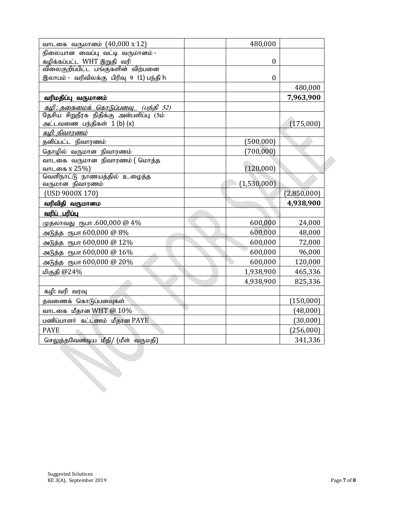| வாடகை வருமானம் (40,000 x 12)                                                                    | 480,000          |             |
|-------------------------------------------------------------------------------------------------|------------------|-------------|
| நிலையான வைப்பு வட்டி வருமானம் -                                                                 |                  |             |
| கழிக்கப்பட்ட WHT இறுதி வரி                                                                      | $\theta$         |             |
| விலைகுறிப்பிட்ட பங்குகளின் விற்பனை                                                              |                  |             |
| இலாபம் - வரிவிலக்கு பிரிவு 9 I1) பந்தி h                                                        | $\boldsymbol{0}$ |             |
|                                                                                                 |                  | 480,000     |
| வரிமதிப்பு வருமானம்                                                                             |                  | 7,963,900   |
| <i><u>கழி: தகைமைக் கொடுப்பனவு   (பந்தி 52)</u><br/>தேசிய சிறு</i> நீரக நிதிக்கு அன்பளிப்பு (5ம் |                  |             |
|                                                                                                 |                  |             |
| அட்டவணை பந்திகள் 1 (b) (x)                                                                      |                  | (175,000)   |
| <u>கமி: நிவாரணம்</u>                                                                            |                  |             |
| தனிப்பட்ட நிவாரணம்                                                                              | (500, 000)       |             |
| தொழில் வருமான நிவாரணம்                                                                          | (700, 000)       |             |
| வாடகை வருமான நிவாரணம் (மொத்த                                                                    |                  |             |
| வாடகை x 25%)                                                                                    | (120,000)        |             |
| வெளிநாட்டு நாணயத்தில் உழைத்த                                                                    |                  |             |
| வருமான நிவாரணம்                                                                                 | (1,530,000)      |             |
| (USD 9000X 170)                                                                                 |                  | (2,850,000) |
| வரிவிதி வருமானம                                                                                 |                  | 4,938,900   |
| <u>வரிப் பரிப்பு</u>                                                                            |                  |             |
| முதலாவது ரூபா .600,000 @ 4%                                                                     | 600,000          | 24,000      |
| அடுத்த ரூபா 600,000 @ 8%                                                                        | 600,000          | 48,000      |
| அடுத்த ரூபா 600,000 @ 12%                                                                       | 600,000          | 72,000      |
| அடுத்த ரூபா 600,000 @ 16%                                                                       | 600,000          | 96,000      |
| அடுத்த ரூபா 600,000 @ 20%                                                                       | 600,000          | 120,000     |
| மிகுதி @24%                                                                                     | 1,938,900        | 465,336     |
|                                                                                                 | 4,938,900        | 825,336     |
| கழி: வரி வரவு                                                                                   |                  |             |
| தவணைக் கொடுப்பனவுகள்                                                                            |                  | (150,000)   |
| வாடகை மீதான WHT $@10\%$                                                                         |                  | (48,000)    |
| பணிப்பாளர் கட்டணம் மீதான PAYE                                                                   |                  | (30,000)    |
| <b>PAYE</b>                                                                                     |                  | (256,000)   |
| செலுத்தவேண்டிய மீதி/ (மீள் வருமதி)                                                              |                  | 341,336     |
|                                                                                                 |                  |             |